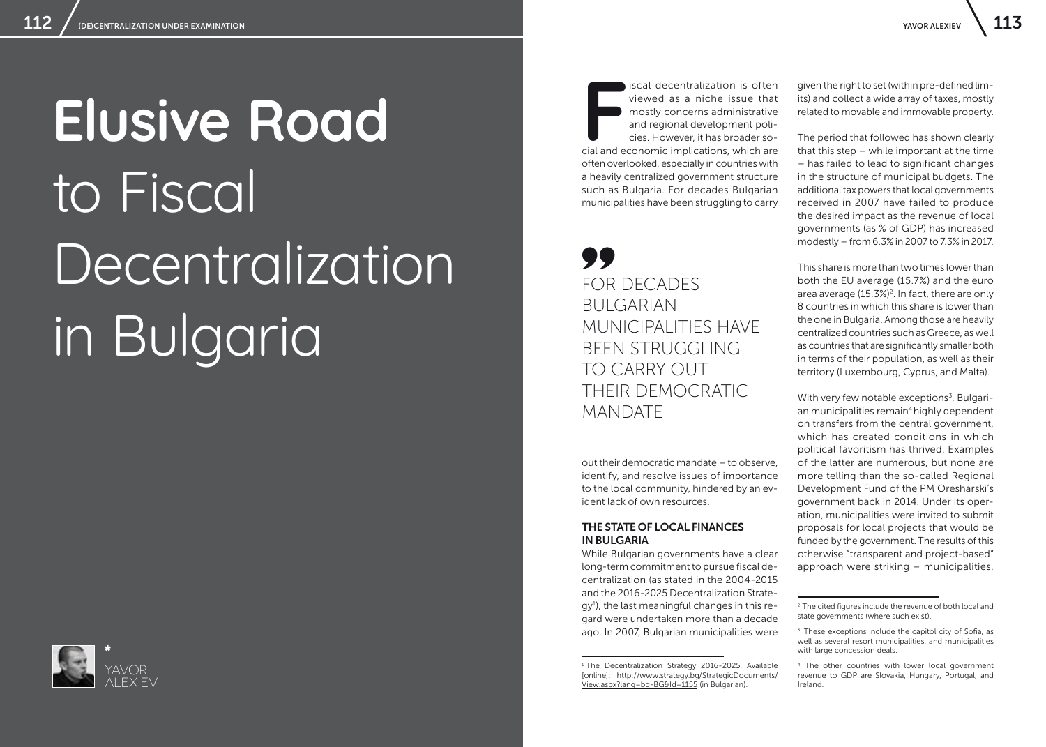# **Elusive Road** to Fiscal Decentralization in Bulgaria



**F** cial and economic implications, which are iscal decentralization is often viewed as a niche issue that mostly concerns administrative and regional development policies. However, it has broader sooften overlooked, especially in countries with a heavily centralized government structure such as Bulgaria. For decades Bulgarian municipalities have been struggling to carry

# FOR DECADES BULGARIAN MUNICIPALITIES HAVE BEEN STRUGGLING TO CARRY OUT THEIR DEMOCRATIC MANDATE

out their democratic mandate – to observe, identify, and resolve issues of importance to the local community, hindered by an evident lack of own resources.

### THE STATE OF LOCAL FINANCES IN BULGARIA

While Bulgarian governments have a clear long-term commitment to pursue fiscal decentralization (as stated in the 2004-2015 and the 2016-2025 Decentralization Strategy<sup>1</sup>), the last meaningful changes in this regard were undertaken more than a decade ago. In 2007, Bulgarian municipalities were

<sup>1</sup> The Decentralization Strategy 2016-2025. Available [online]: [http://www.strategy.bg/StrategicDocuments/](http://www.strategy.bg/StrategicDocuments/View.aspx?lang=bg-BG&Id=1155) [View.aspx?lang=bg-BG&Id=1155](http://www.strategy.bg/StrategicDocuments/View.aspx?lang=bg-BG&Id=1155) (in Bulgarian).

given the right to set (within pre-defined limits) and collect a wide array of taxes, mostly related to movable and immovable property.

The period that followed has shown clearly that this step – while important at the time – has failed to lead to significant changes in the structure of municipal budgets. The additional tax powers that local governments received in 2007 have failed to produce the desired impact as the revenue of local governments (as % of GDP) has increased modestly – from 6.3% in 2007 to 7.3% in 2017.

This share is more than two times lower than both the EU average (15.7%) and the euro area average (15.3%)<sup>2</sup>. In fact, there are only 8 countries in which this share is lower than the one in Bulgaria. Among those are heavily centralized countries such as Greece, as well as countries that are significantly smaller both in terms of their population, as well as their territory (Luxembourg, Cyprus, and Malta).

With very few notable exceptions<sup>3</sup>, Bulgarian municipalities remain<sup>4</sup> highly dependent on transfers from the central government, which has created conditions in which political favoritism has thrived. Examples of the latter are numerous, but none are more telling than the so-called Regional Development Fund of the PM Oresharski's government back in 2014. Under its operation, municipalities were invited to submit proposals for local projects that would be funded by the government. The results of this otherwise "transparent and project-based" approach were striking – municipalities,

<sup>&</sup>lt;sup>2</sup> The cited figures include the revenue of both local and state governments (where such exist).

<sup>&</sup>lt;sup>3</sup> These exceptions include the capitol city of Sofia, as well as several resort municipalities, and municipalities with large concession deals.

<sup>4</sup> The other countries with lower local government revenue to GDP are Slovakia, Hungary, Portugal, and Ireland.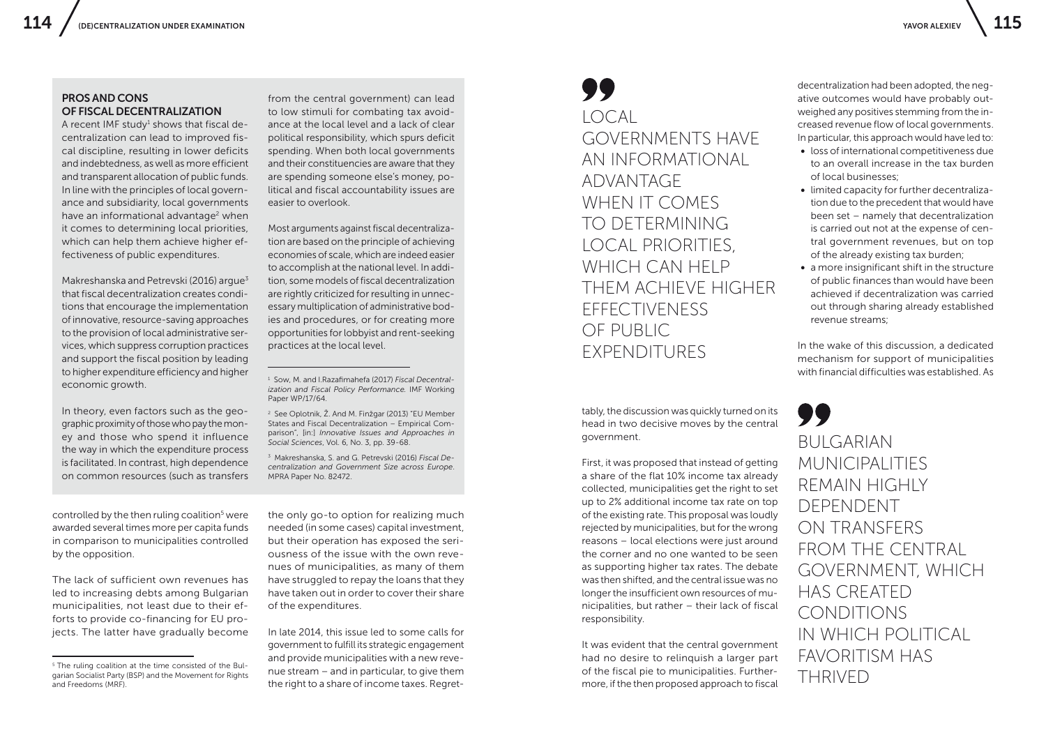### PROS AND CONS OF FISCAL DECENTRALIZATION

A recent IMF study $<sup>1</sup>$  shows that fiscal de-</sup> centralization can lead to improved fiscal discipline, resulting in lower deficits and indebtedness, as well as more efficient and transparent allocation of public funds. In line with the principles of local governance and subsidiarity, local governments have an informational advantage<sup>2</sup> when it comes to determining local priorities, which can help them achieve higher effectiveness of public expenditures.

Makreshanska and Petrevski (2016) argue $3$ that fiscal decentralization creates conditions that encourage the implementation of innovative, resource-saving approaches to the provision of local administrative services, which suppress corruption practices and support the fiscal position by leading to higher expenditure efficiency and higher economic growth.

In theory, even factors such as the geographic proximity of those who pay the money and those who spend it influence the way in which the expenditure process is facilitated. In contrast, high dependence on common resources (such as transfers

controlled by the then ruling coalition<sup>5</sup> were awarded several times more per capita funds in comparison to municipalities controlled by the opposition.

The lack of sufficient own revenues has led to increasing debts among Bulgarian municipalities, not least due to their efforts to provide co-financing for EU projects. The latter have gradually become

from the central government) can lead to low stimuli for combating tax avoidance at the local level and a lack of clear political responsibility, which spurs deficit spending. When both local governments and their constituencies are aware that they are spending someone else's money, political and fiscal accountability issues are easier to overlook.

Most arguments against fiscal decentralization are based on the principle of achieving economies of scale, which are indeed easier to accomplish at the national level. In addition, some models of fiscal decentralization are rightly criticized for resulting in unnecessary multiplication of administrative bodies and procedures, or for creating more opportunities for lobbyist and rent-seeking practices at the local level.

<sup>1</sup> Sow, M. and I.Razafimahefa (2017) *Fiscal Decentralization and Fiscal Policy Performance.* IMF Working Paper WP/17/64.

<sup>2</sup> See Oplotnik, Ž. And M. Finžgar (2013) "EU Member States and Fiscal Decentralization – Empirical Comparison", [in:] *Innovative Issues and Approaches in Social Sciences*, Vol. 6, No. 3, pp. 39-68.

<sup>3</sup> Makreshanska, S. and G. Petrevski (2016) *Fiscal Decentralization and Government Size across Europe*. MPRA Paper No. 82472.

the only go-to option for realizing much needed (in some cases) capital investment, but their operation has exposed the seriousness of the issue with the own revenues of municipalities, as many of them have struggled to repay the loans that they have taken out in order to cover their share of the expenditures.

In late 2014, this issue led to some calls for government to fulfill its strategic engagement and provide municipalities with a new revenue stream – and in particular, to give them the right to a share of income taxes. Regret-

## LOCAL GOVERNMENTS HAVE AN INFORMATIONAL ADVANTAGE WHEN IT COMES TO DETERMINING LOCAL PRIORITIES, WHICH CAN HELP THEM ACHIEVE HIGHER EFFECTIVENESS OF PUBLIC EXPENDITURES

tably, the discussion was quickly turned on its head in two decisive moves by the central government.

First, it was proposed that instead of getting a share of the flat 10% income tax already collected, municipalities get the right to set up to 2% additional income tax rate on top of the existing rate. This proposal was loudly rejected by municipalities, but for the wrong reasons – local elections were just around the corner and no one wanted to be seen as supporting higher tax rates. The debate was then shifted, and the central issue was no longer the insufficient own resources of municipalities, but rather – their lack of fiscal responsibility.

It was evident that the central government had no desire to relinquish a larger part of the fiscal pie to municipalities. Furthermore, if the then proposed approach to fiscal

decentralization had been adopted, the negative outcomes would have probably outweighed any positives stemming from the increased revenue flow of local governments. In particular, this approach would have led to:

- loss of international competitiveness due to an overall increase in the tax burden of local businesses;
- limited capacity for further decentralization due to the precedent that would have been set – namely that decentralization is carried out not at the expense of central government revenues, but on top of the already existing tax burden;
- a more insignificant shift in the structure of public finances than would have been achieved if decentralization was carried out through sharing already established revenue streams;

In the wake of this discussion, a dedicated mechanism for support of municipalities with financial difficulties was established. As

99 **BULGARIAN** MUNICIPALITIES REMAIN HIGHLY DEPENDENT ON TRANSFERS FROM THE CENTRAL GOVERNMENT, WHICH HAS CREATED CONDITIONS IN WHICH POLITICAL FAVORITISM HAS THRIVED

<sup>5</sup> The ruling coalition at the time consisted of the Bulgarian Socialist Party (BSP) and the Movement for Rights and Freedoms (MRF).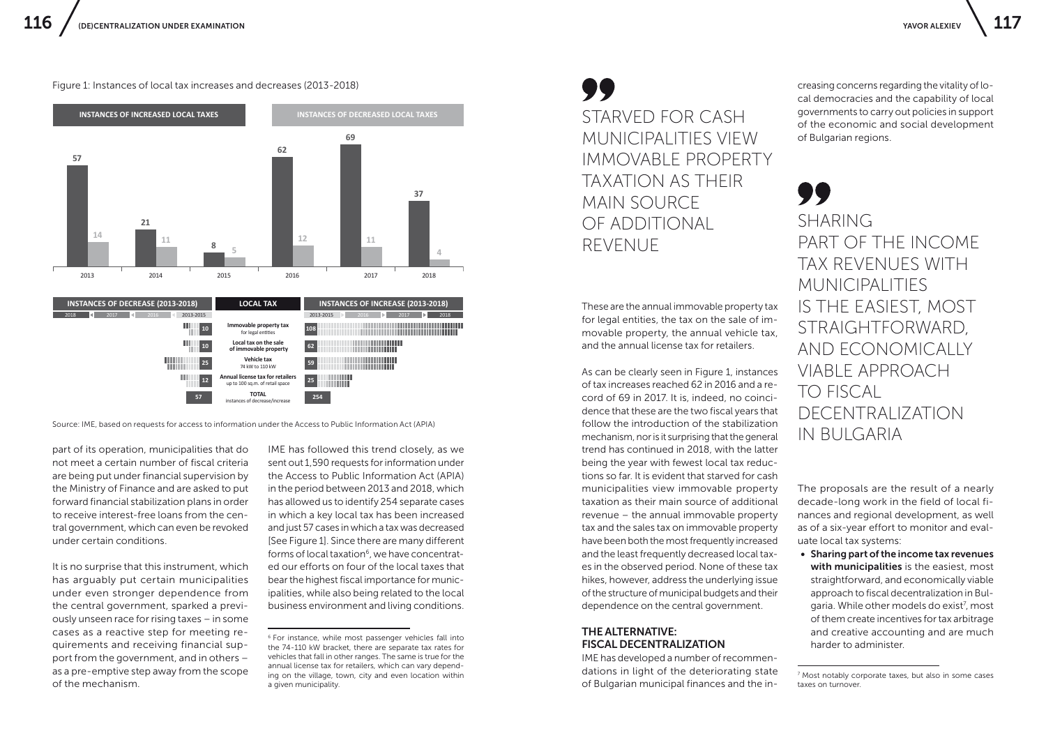Figure 1: Instances of local tax increases and decreases (2013-2018)



part of its operation, municipalities that do not meet a certain number of fiscal criteria are being put under financial supervision by the Ministry of Finance and are asked to put forward financial stabilization plans in order to receive interest-free loans from the central government, which can even be revoked under certain conditions.

It is no surprise that this instrument, which has arguably put certain municipalities under even stronger dependence from the central government, sparked a previously unseen race for rising taxes – in some cases as a reactive step for meeting requirements and receiving financial support from the government, and in others – as a pre-emptive step away from the scope of the mechanism.

IME has followed this trend closely, as we sent out 1,590 requests for information under the Access to Public Information Act (APIA) in the period between 2013 and 2018, which has allowed us to identify 254 separate cases in which a key local tax has been increased and just 57 cases in which a tax was decreased [See Figure 1]. Since there are many different forms of local taxation<sup>6</sup>, we have concentrated our efforts on four of the local taxes that bear the highest fiscal importance for municipalities, while also being related to the local business environment and living conditions.

STARVED FOR CASH MUNICIPALITIES VIEW IMMOVABLE PROPERTY TAXATION AS THEIR MAIN SOURCE OF ADDITIONAL REVENUE

These are the annual immovable property tax for legal entities, the tax on the sale of immovable property, the annual vehicle tax, and the annual license tax for retailers.

As can be clearly seen in Figure 1, instances of tax increases reached 62 in 2016 and a record of 69 in 2017. It is, indeed, no coincidence that these are the two fiscal years that follow the introduction of the stabilization mechanism, nor is it surprising that the general trend has continued in 2018, with the latter being the year with fewest local tax reductions so far. It is evident that starved for cash municipalities view immovable property taxation as their main source of additional revenue – the annual immovable property tax and the sales tax on immovable property have been both the most frequently increased and the least frequently decreased local taxes in the observed period. None of these tax hikes, however, address the underlying issue of the structure of municipal budgets and their dependence on the central government. Source: IME, based on requests for access to information under the Access to Public Information Act (APIA) follow the introduction of the stabilization<br>mechanism. nor is it surprising that the general IN BUIGARIA

## THE ALTERNATIVE: FISCAL DECENTRALIZATION

IME has developed a number of recommendations in light of the deteriorating state of Bulgarian municipal finances and the in-

creasing concerns regarding the vitality of local democracies and the capability of local governments to carry out policies in support of the economic and social development of Bulgarian regions.

# SHARING PART OF THE INCOME TAX REVENUES WITH MUNICIPALITIES IS THE EASIEST, MOST STRAIGHTFORWARD, AND ECONOMICALLY VIABLE APPROACH TO FISCAL DECENTRALIZATION

The proposals are the result of a nearly decade-long work in the field of local finances and regional development, as well as of a six-year effort to monitor and evaluate local tax systems:

• Sharing part of the income tax revenues with municipalities is the easiest, most straightforward, and economically viable approach to fiscal decentralization in Bulgaria. While other models do exist<sup>7</sup>, most of them create incentives for tax arbitrage and creative accounting and are much harder to administer.

<sup>&</sup>lt;sup>6</sup> For instance, while most passenger vehicles fall into the 74-110 kW bracket, there are separate tax rates for vehicles that fall in other ranges. The same is true for the annual license tax for retailers, which can vary depending on the village, town, city and even location within a given municipality.

<sup>7</sup> Most notably corporate taxes, but also in some cases taxes on turnover.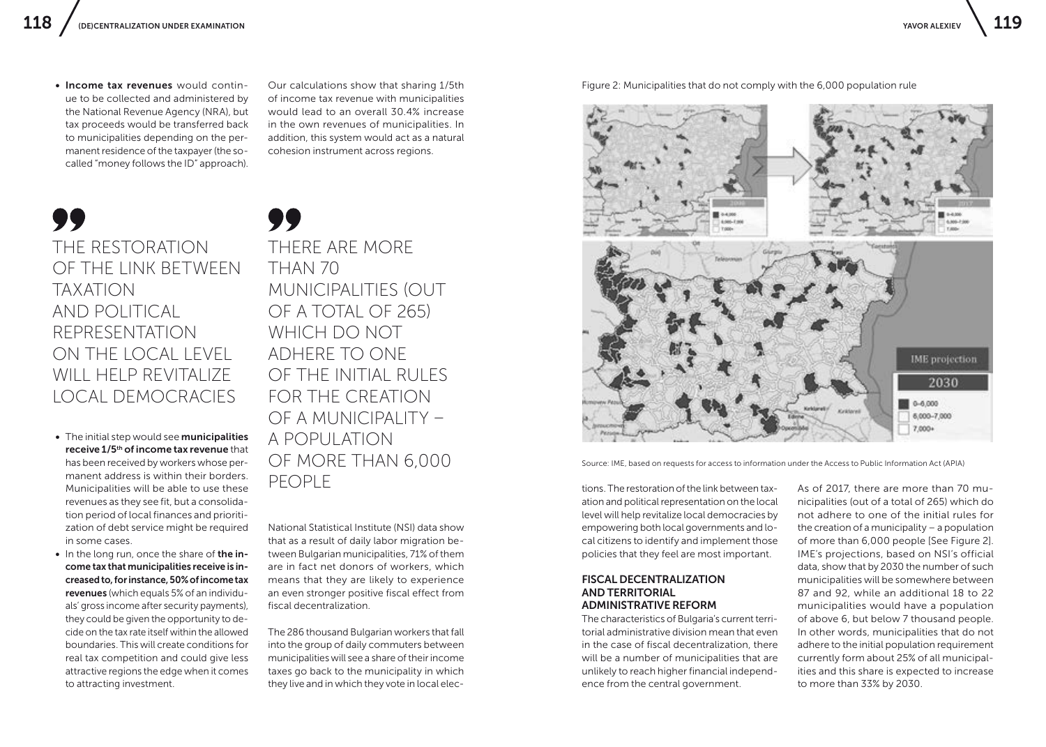• Income tax revenues would continue to be collected and administered by the National Revenue Agency (NRA), but tax proceeds would be transferred back to municipalities depending on the permanent residence of the taxpayer (the socalled "money follows the ID" approach).

Our calculations show that sharing 1/5th of income tax revenue with municipalities would lead to an overall 30.4% increase in the own revenues of municipalities. In addition, this system would act as a natural cohesion instrument across regions.

THE RESTORATION OF THE LINK BETWEEN TAXATION AND POLITICAL REPRESENTATION ON THE LOCAL LEVEL WILL HELP REVITALIZE LOCAL DEMOCRACIES

- The initial step would see municipalities receive 1/5<sup>th</sup> of income tax revenue that has been received by workers whose permanent address is within their borders. Municipalities will be able to use these revenues as they see fit, but a consolidation period of local finances and prioritization of debt service might be required in some cases.
- In the long run, once the share of the income tax that municipalities receive is increased to, for instance, 50% of income tax revenues (which equals 5% of an individuals' gross income after security payments), they could be given the opportunity to decide on the tax rate itself within the allowed boundaries. This will create conditions for real tax competition and could give less attractive regions the edge when it comes to attracting investment.

THERE ARE MORE THAN 70 MUNICIPALITIES (OUT OF A TOTAL OF 265) WHICH DO NOT ADHERE TO ONE OF THE INITIAL RULES FOR THE CREATION OF A MUNICIPALITY – A POPULATION OF MORE THAN 6,000 PEOPLE

National Statistical Institute (NSI) data show that as a result of daily labor migration between Bulgarian municipalities, 71% of them are in fact net donors of workers, which means that they are likely to experience an even stronger positive fiscal effect from fiscal decentralization.

The 286 thousand Bulgarian workers that fall into the group of daily commuters between municipalities will see a share of their income taxes go back to the municipality in which they live and in which they vote in local elec-



Figure 2: Municipalities that do not comply with the 6,000 population rule

Source: IME, based on requests for access to information under the Access to Public Information Act (APIA)

tions. The restoration of the link between taxation and political representation on the local level will help revitalize local democracies by empowering both local governments and local citizens to identify and implement those policies that they feel are most important.

#### FISCAL DECENTRALIZATION AND TERRITORIAL ADMINISTRATIVE REFORM

The characteristics of Bulgaria's current territorial administrative division mean that even in the case of fiscal decentralization, there will be a number of municipalities that are unlikely to reach higher financial independence from the central government.

As of 2017, there are more than 70 municipalities (out of a total of 265) which do not adhere to one of the initial rules for the creation of a municipality – a population of more than 6,000 people [See Figure 2]. IME's projections, based on NSI's official data, show that by 2030 the number of such municipalities will be somewhere between 87 and 92, while an additional 18 to 22 municipalities would have a population of above 6, but below 7 thousand people. In other words, municipalities that do not adhere to the initial population requirement currently form about 25% of all municipalities and this share is expected to increase to more than 33% by 2030.

7,000+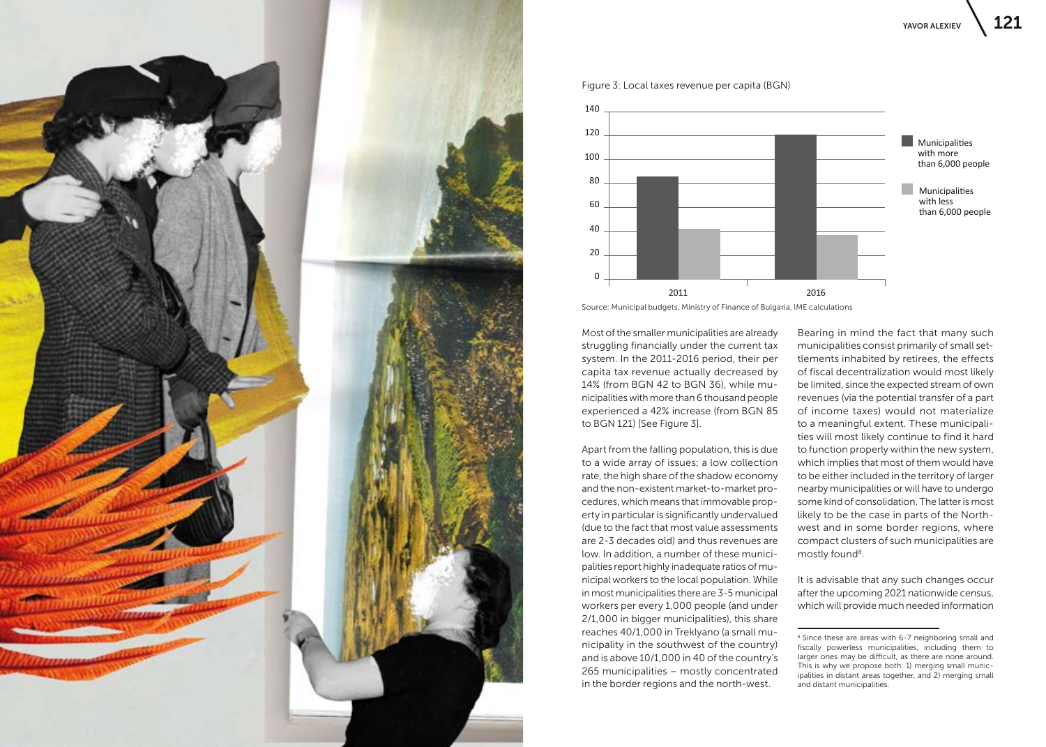



Figure 3: Local taxes revenue per capita (BGN)

Source: Municipal budgets, Ministry of Finance of Bulgaria, IME calculations

Most of the smaller municipalities are already struggling financially under the current tax system. In the 2011-2016 period, their per capita tax revenue actually decreased by 14% (from BGN 42 to BGN 36), while municipalities with more than 6 thousand people experienced a 42% increase (from BGN 85 to BGN 121) [See Figure 3].

Apart from the falling population, this is due to a wide array of issues; a low collection rate, the high share of the shadow economy and the non-existent market-to-market procedures, which means that immovable property in particular is significantly undervalued (due to the fact that most value assessments are 2-3 decades old) and thus revenues are low. In addition, a number of these municipalities report highly inadequate ratios of municipal workers to the local population. While in most municipalities there are 3-5 municipal workers per every 1,000 people (and under 2/1,000 in bigger municipalities), this share reaches 40/1,000 in Treklyano (a small municipality in the southwest of the country) and is above 10/1,000 in 40 of the country's 265 municipalities – mostly concentrated in the border regions and the north-west.

Bearing in mind the fact that many such municipalities consist primarily of small settlements inhabited by retirees, the effects of fiscal decentralization would most likely be limited, since the expected stream of own revenues (via the potential transfer of a part of income taxes) would not materialize to a meaningful extent. These municipalities will most likely continue to find it hard to function properly within the new system, which implies that most of them would have to be either included in the territory of larger nearby municipalities or will have to undergo some kind of consolidation. The latter is most likely to be the case in parts of the Northwest and in some border regions, where compact clusters of such municipalities are mostly found<sup>8</sup>.

It is advisable that any such changes occur after the upcoming 2021 nationwide census, which will provide much needed information

<sup>&</sup>lt;sup>8</sup> Since these are areas with 6-7 neighboring small and fiscally powerless municipalities, including them to larger ones may be difficult, as there are none around. This is why we propose both: 1) merging small municipalities in distant areas together, and 2) merging small and distant municipalities.